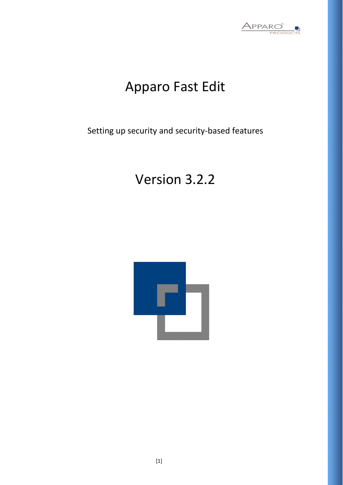

# Apparo Fast Edit

Setting up security and security-based features

# Version 3.2.2

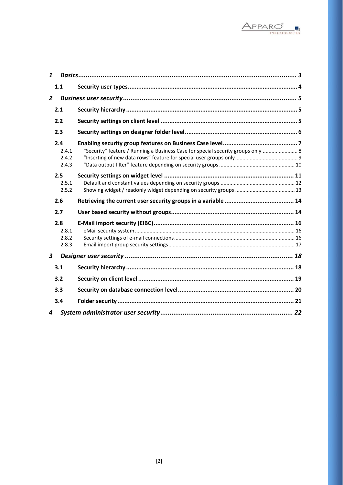

| $\mathbf{1}$     |                                |                                                                                  |  |
|------------------|--------------------------------|----------------------------------------------------------------------------------|--|
|                  | 1.1                            |                                                                                  |  |
| $\overline{2}$   |                                |                                                                                  |  |
|                  | 2.1                            |                                                                                  |  |
|                  | 2.2                            |                                                                                  |  |
|                  | 2.3                            |                                                                                  |  |
|                  | 2.4<br>2.4.1<br>2.4.2<br>2.4.3 | "Security" feature / Running a Business Case for special security groups only  8 |  |
|                  | 2.5<br>2.5.1<br>2.5.2          |                                                                                  |  |
|                  |                                |                                                                                  |  |
|                  | 2.6                            |                                                                                  |  |
|                  | 2.7                            |                                                                                  |  |
|                  | 2.8<br>2.8.1<br>2.8.2<br>2.8.3 |                                                                                  |  |
| $\boldsymbol{3}$ |                                |                                                                                  |  |
|                  | 3.1                            |                                                                                  |  |
|                  | 3.2                            |                                                                                  |  |
|                  | 3.3                            |                                                                                  |  |
|                  | 3.4                            |                                                                                  |  |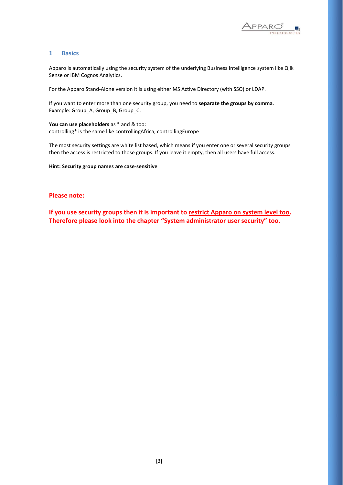

### <span id="page-2-0"></span>**1 Basics**

Apparo is automatically using the security system of the underlying Business Intelligence system like Qlik Sense or IBM Cognos Analytics.

For the Apparo Stand-Alone version it is using either MS Active Directory (with SSO) or LDAP.

If you want to enter more than one security group, you need to **separate the groups by comma**. Example: Group\_A, Group\_B, Group\_C.

**You can use placeholders** as \* and & too: controlling\* is the same like controllingAfrica, controllingEurope

The most security settings are white list based, which means if you enter one or several security groups then the access is restricted to those groups. If you leave it empty, then all users have full access.

**Hint: Security group names are case-sensitive**

#### **Please note:**

**If you use security groups then it is important to restrict Apparo on system level too. Therefore please look into the chapter "System administrator user security" too.**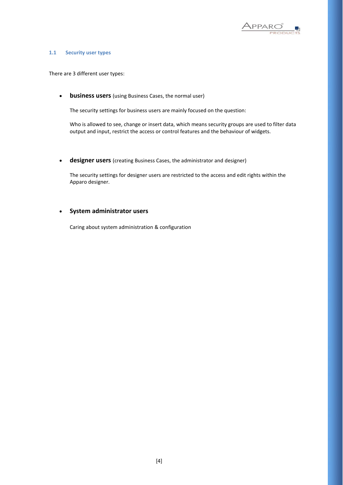

#### <span id="page-3-0"></span>**1.1 Security user types**

There are 3 different user types:

• **business users** (using Business Cases, the normal user)

The security settings for business users are mainly focused on the question:

Who is allowed to see, change or insert data, which means security groups are used to filter data output and input, restrict the access or control features and the behaviour of widgets.

• **designer users** (creating Business Cases, the administrator and designer)

The security settings for designer users are restricted to the access and edit rights within the Apparo designer.

# • **System administrator users**

Caring about system administration & configuration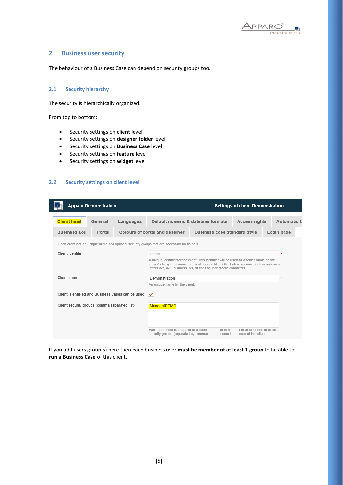

#### <span id="page-4-0"></span>**2 Business user security**

The behaviour of a Business Case can depend on security groups too.

#### <span id="page-4-1"></span>**2.1 Security hierarchy**

The security is hierarchically organized.

From top to bottom:

- Security settings on **client** level
- Security settings on **designer folder** level
- Security settings on **Business Case** level
- Security settings on **feature** level
- Security settings on **widget** level

# <span id="page-4-2"></span>**2.2 Security settings on client level**

|                                                                                                                                                                     | <b>Apparo Demonstration</b> |                                                  |                                                                                                                                                                                                                                                             |                                     | <b>Settings of client Demonstration</b> |              |
|---------------------------------------------------------------------------------------------------------------------------------------------------------------------|-----------------------------|--------------------------------------------------|-------------------------------------------------------------------------------------------------------------------------------------------------------------------------------------------------------------------------------------------------------------|-------------------------------------|-----------------------------------------|--------------|
| <b>Client head</b>                                                                                                                                                  | General                     | Languages                                        | Default numeric & datetime formats                                                                                                                                                                                                                          |                                     | <b>Access rights</b>                    | Automatic ta |
| <b>Business Log</b>                                                                                                                                                 | Portal                      |                                                  | Colours of portal and designer                                                                                                                                                                                                                              | <b>Business case standard style</b> |                                         | Login page   |
|                                                                                                                                                                     |                             |                                                  | Each client has an unique name and optional security groups that are necessary for using it.                                                                                                                                                                |                                     |                                         |              |
| Client identifier                                                                                                                                                   |                             |                                                  | Demo                                                                                                                                                                                                                                                        |                                     |                                         | $\star$      |
|                                                                                                                                                                     |                             |                                                  | A unique identifier for the client. This identifier will be used as a folder name on the<br>server's filesystem name for client specific files. Client identifier may contain only basic<br>letters a-z, A-Z, numbers 0-9, dashes or underscore characters. |                                     |                                         |              |
| Client name                                                                                                                                                         |                             |                                                  | Demonstration                                                                                                                                                                                                                                               |                                     |                                         |              |
|                                                                                                                                                                     |                             |                                                  | An unique name for the client.                                                                                                                                                                                                                              |                                     |                                         |              |
|                                                                                                                                                                     |                             | Client is enabled and Business Cases can be used | ✔                                                                                                                                                                                                                                                           |                                     |                                         |              |
| Client security groups (comma separated list)<br><b>MandantDEMO</b>                                                                                                 |                             |                                                  |                                                                                                                                                                                                                                                             |                                     |                                         |              |
|                                                                                                                                                                     |                             |                                                  |                                                                                                                                                                                                                                                             |                                     |                                         |              |
| Each user must be mapped to a client. If an user is member of at least one of these<br>security groups (separated by comma) then the user is member of this client. |                             |                                                  |                                                                                                                                                                                                                                                             |                                     |                                         |              |

If you add users group(s) here then each business user **must be member of at least 1 group** to be able to **run a Business Case** of this client.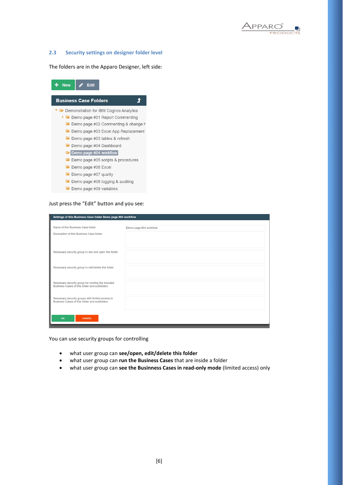

#### <span id="page-5-0"></span>**2.3 Security settings on designer folder level**

The folders are in the Apparo Designer, left side:

| <b>New</b> | <b>Edit</b>                    |                                                   |  |  |  |  |
|------------|--------------------------------|---------------------------------------------------|--|--|--|--|
|            |                                |                                                   |  |  |  |  |
|            | <b>Business Case Folders</b>   |                                                   |  |  |  |  |
|            |                                | <b>E</b> Demonstration for IBM Cognos Analytics   |  |  |  |  |
|            |                                | ▶ ■ Demo page #01 Report Commenting               |  |  |  |  |
|            |                                | <b>Demo page #02 Commenting &amp; change html</b> |  |  |  |  |
|            |                                | <b>Demo page #03 Excel App Replacement</b>        |  |  |  |  |
|            |                                | Demo page #03 tables & refresh                    |  |  |  |  |
|            | <b>Demo page #04 Dashboard</b> |                                                   |  |  |  |  |
|            | $\Box$ Demo page #04 workflow  |                                                   |  |  |  |  |
|            |                                | $\Box$ Demo page #05 scripts & procedures         |  |  |  |  |
|            | $\Box$ Demo page #06 Excel     |                                                   |  |  |  |  |
|            | $\Box$ Demo page #07 quality   |                                                   |  |  |  |  |
|            |                                | <b>Demo page #08 logging &amp; auditing</b>       |  |  |  |  |
|            | Demo page #09 variables        |                                                   |  |  |  |  |

Just press the "Edit" button and you see:

| Name of this Business Case folder                                                                 | Demo page #04 workflow |
|---------------------------------------------------------------------------------------------------|------------------------|
| Description of this Business Case folder                                                          |                        |
| Necessary security group to see and open this folder                                              |                        |
| Necessary security group to edit/delete this folder                                               |                        |
| Necessary security group for running the included<br>Business Cases of this folder and subfolders |                        |
| Necessary security groups with limited access to<br>Business Cases of this folder and subfolders  |                        |

You can use security groups for controlling

- what user group can **see/open, edit/delete this folder**
- what user group can **run the Business Cases** that are inside a folder
- what user group can **see the Businness Cases in read-only mode** (limited access) only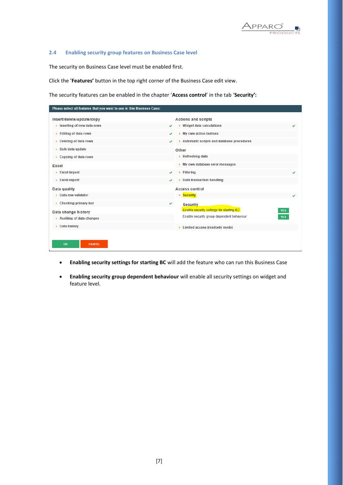

#### <span id="page-6-0"></span>**2.4 Enabling security group features on Business Case level**

The security on Business Case level must be enabled first.

Click the '**Features'** button in the top right corner of the Business Case edit view.

The security features can be enabled in the chapter '**Access control**' in the tab '**Security':**

| Please select all features that you want to use in this Business Case: |   |                                                               |   |
|------------------------------------------------------------------------|---|---------------------------------------------------------------|---|
| Insert/delete/update/copy                                              |   | <b>Actions and scripts</b>                                    |   |
| $\triangleright$ Inserting of new data rows                            |   | Widget data calculations                                      |   |
| $\triangleright$ Editing of data rows                                  | ✔ | My own action buttons                                         |   |
| $\triangleright$ Deleting of data rows                                 | ✔ | Automatic scripts and database procedures                     |   |
| $\triangleright$ Bulk data update                                      |   | Other                                                         |   |
| $\triangleright$ Copying of data rows                                  |   | $\triangleright$ Refreshing data                              |   |
| Excel                                                                  |   | My own database error messages                                |   |
| $\triangleright$ Excel import                                          | ✔ | $\triangleright$ Filtering                                    | ✔ |
| $\triangleright$ Excel export                                          | ✔ | $\triangleright$ Data transaction handling                    |   |
| Data quality                                                           |   | <b>Access control</b>                                         |   |
| ▶ Data row validator                                                   |   | v Security                                                    |   |
| $\triangleright$ Checking primary key                                  | ✔ | <b>Security</b>                                               |   |
| Data change history                                                    |   | <b>Enable security settings for starting BC</b><br><b>YES</b> |   |
| $\triangleright$ Auditing of data changes                              |   | Enable security group dependent behaviour<br><b>YES</b>       |   |
| Data history                                                           |   | > Limited access (readonly mode)                              |   |
|                                                                        |   |                                                               |   |
| OK<br><b>CANCEL</b>                                                    |   |                                                               |   |
|                                                                        |   |                                                               |   |

- **Enabling security settings for starting BC** will add the feature who can run this Business Case
- **Enabling security group dependent behaviour** will enable all security settings on widget and feature level.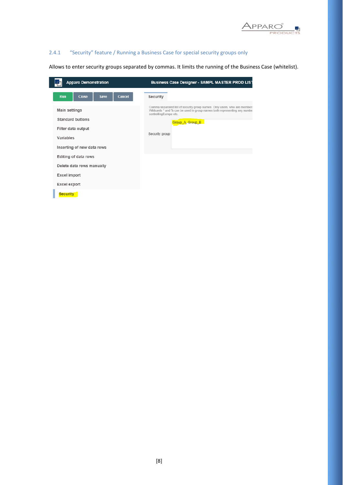

# <span id="page-7-0"></span>2.4.1 "Security" feature / Running a Business Case for special security groups only

Allows to enter security groups separated by commas. It limits the running of the Business Case (whitelist).

| <b>Apparo Demonstration</b>                                                                               | <b>Business Case Designer - SAMPL MASTER PROD LIST</b>                                                                                                                                                                |
|-----------------------------------------------------------------------------------------------------------|-----------------------------------------------------------------------------------------------------------------------------------------------------------------------------------------------------------------------|
| <b>Run</b><br><b>Close</b><br>Save<br>Cancel                                                              | Security                                                                                                                                                                                                              |
| Main settings<br><b>Standard buttons</b><br>Filter data output<br>Variables<br>Inserting of new data rows | Comma separated list of security group names. Only users, who are members<br>Wildcards * and % can be used in group names both representing any numbe<br>controllingEurope etc.<br>Group A, Group B<br>Security group |
| Editing of data rows                                                                                      |                                                                                                                                                                                                                       |
| Delete data rows manually                                                                                 |                                                                                                                                                                                                                       |
| <b>Excel import</b>                                                                                       |                                                                                                                                                                                                                       |
| <b>Excel export</b>                                                                                       |                                                                                                                                                                                                                       |
| <b>Security</b>                                                                                           |                                                                                                                                                                                                                       |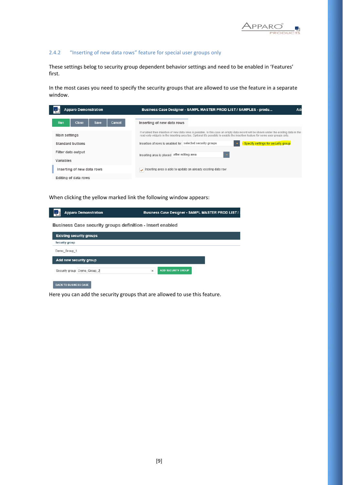

# <span id="page-8-0"></span>2.4.2 "Inserting of new data rows" feature for special user groups only

These settings belog to security group dependent behavior settings and need to be enabled in 'Features' first.

In the most cases you need to specify the security groups that are allowed to use the feature in a separate window.

| <b>Apparo Demonstration</b>                         | Business Case Designer - SAMPL MASTER PROD LIST / SAMPLES - produ<br>Ad                                                                                                                                                                                                    |
|-----------------------------------------------------|----------------------------------------------------------------------------------------------------------------------------------------------------------------------------------------------------------------------------------------------------------------------------|
| <b>Close</b><br>Cancel<br><b>Run</b><br><b>Save</b> | Inserting of new data rows                                                                                                                                                                                                                                                 |
| Main settings                                       | If enabled then insertion of new data rows is possible. In this case an empty data record will be shown under the existing data in the i<br>read-only widgets in the inserting area too. Optional it's possible to enable the insertion feature for some user groups only. |
| <b>Standard buttons</b>                             | Specify settings for security group<br>Insertion of rows is enabled for selected security groups                                                                                                                                                                           |
| Filter data output                                  | after editing area<br>Inserting area is placed                                                                                                                                                                                                                             |
| Variables                                           |                                                                                                                                                                                                                                                                            |
| Inserting of new data rows                          | Inserting area is able to update an already existing data row                                                                                                                                                                                                              |
| Editing of data rows                                |                                                                                                                                                                                                                                                                            |

When clicking the yellow marked link the following window appears:

 $\overline{\phantom{a}}$ 

| <b>Apparo Demonstration</b>                                      | Business Case Designer - SAMPL MASTER PROD LIST / S |
|------------------------------------------------------------------|-----------------------------------------------------|
| <b>Business Case security groups definition - Insert enabled</b> |                                                     |
| <b>Existing security groups</b>                                  |                                                     |
| Security group                                                   |                                                     |
| Demo Group 1                                                     |                                                     |
| Add new security group                                           |                                                     |
| Security group Demo_Group 2                                      | <b>ADD SECURITY GROUP</b><br>$\times$               |
| <b>BACK TO BUSINESS CASE</b>                                     |                                                     |

Here you can add the security groups that are allowed to use this feature.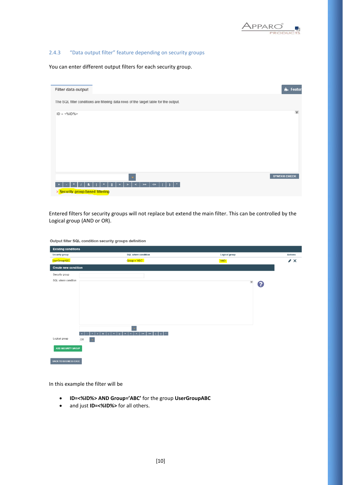

# <span id="page-9-0"></span>2.4.3 "Data output filter" feature depending on security groups

You can enter different output filters for each security group.

| Filter data output                                                                    | <b>n.</b> Feature   |
|---------------------------------------------------------------------------------------|---------------------|
| The SQL filter conditions are filtering data rows of the target table for the output. |                     |
| $ID = 96ID%$                                                                          | $\mathsf{v}$        |
|                                                                                       |                     |
|                                                                                       | <b>SYNTAX CHECK</b> |
| $\leq$<br>$>=$<br>> Security group based filtering                                    |                     |

Entered filters for security groups will not replace but extend the main filter. This can be controlled by the Logical group (AND or OR).

| <b>Existing conditions</b>                                 |                                                                                                       |                |                |
|------------------------------------------------------------|-------------------------------------------------------------------------------------------------------|----------------|----------------|
| Security group                                             | SQL where condition                                                                                   | Logical group  | <b>Actions</b> |
| <b>UserGroupABC</b>                                        | $Group = 'ABC'$                                                                                       | AND            | $\lambda$      |
| <b>Create new condition</b>                                |                                                                                                       |                |                |
| Security group                                             |                                                                                                       |                |                |
| SQL where condition                                        |                                                                                                       | ${\sf V}$<br>3 |                |
| $\bullet$<br>$\pmb{\ast}$<br>Logical group<br>OR<br>$\sim$ | $=$ $\rightarrow$ $\le$ $\rightarrow$<br>$\left  \right $<br>$\sim$<br>$\mathbf{A}$<br>$\blacksquare$ |                |                |
| <b>ADD SECURITY GROUP</b>                                  |                                                                                                       |                |                |
| <b>BACK TO BUSINESS CASE</b>                               |                                                                                                       |                |                |

Output filter SQL condition security groups definition

In this example the filter will be

- **ID=<%ID%> AND Group='ABC'** for the group **UserGroupABC**
- and just **ID=<%ID%>** for all others.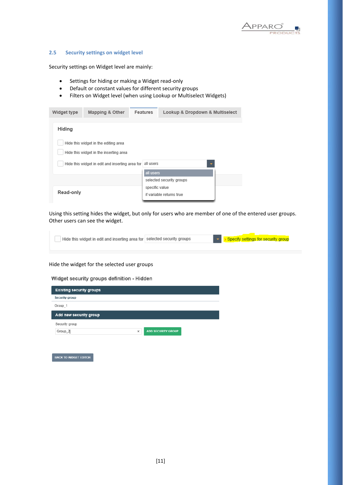

#### <span id="page-10-0"></span>**2.5 Security settings on widget level**

Security settings on Widget level are mainly:

- Settings for hiding or making a Widget read-only
- Default or constant values for different security groups
- Filters on Widget level (when using Lookup or Multiselect Widgets)

| Widget type | Mapping & Other                                                                | <b>Features</b> | Lookup & Dropdown & Multiselect                      |
|-------------|--------------------------------------------------------------------------------|-----------------|------------------------------------------------------|
| Hiding      |                                                                                |                 |                                                      |
|             | Hide this widget in the editing area<br>Hide this widget in the inserting area | all users       |                                                      |
|             | Hide this widget in edit and inserting area for                                | all users       | $\overline{\phantom{a}}$<br>selected security groups |
| Read-only   |                                                                                | specific value  | if variable returns true                             |

Using this setting hides the widget, but only for users who are member of one of the entered user groups. Other users can see the widget.



#### Hide the widget for the selected user groups

Widget security groups definition - Hidden

| × | <b>ADD SECURITY GROUP</b> |  |
|---|---------------------------|--|
|   |                           |  |

**BACK TO WIDGET EDITOR**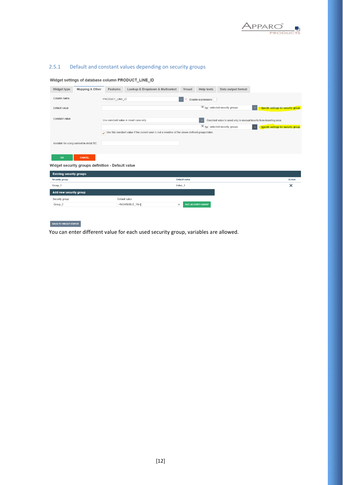

# <span id="page-11-0"></span>2.5.1 Default and constant values depending on security groups

#### Widget settings of database column PRODUCT\_LINE\_ID

| Widget type                     | Mapping & Other                                   | Features        | Lookup & Dropdown & Multiselect                                                                | Visual        | Help texts                | Data output format                                                 |                                                                   |
|---------------------------------|---------------------------------------------------|-----------------|------------------------------------------------------------------------------------------------|---------------|---------------------------|--------------------------------------------------------------------|-------------------------------------------------------------------|
| Column name                     |                                                   | PRODUCT LINE ID |                                                                                                |               | Enable expressions        |                                                                    |                                                                   |
| Default value                   |                                                   |                 |                                                                                                |               |                           | $V_{\text{for}}$ selected security groups                          | Specify settings for security group                               |
| Constant value                  |                                                   |                 | Use constant value in insert case only                                                         |               |                           | Constant value is used only in manual inserts from inserting area. |                                                                   |
|                                 |                                                   |                 |                                                                                                |               |                           | V for selected security groups                                     | > Specify settings for security group<br>$\overline{\phantom{a}}$ |
|                                 |                                                   |                 | Use this constant value if the current user is not a member of the above defined groups/roles. |               |                           |                                                                    |                                                                   |
|                                 |                                                   |                 |                                                                                                |               |                           |                                                                    |                                                                   |
|                                 | Variable for using content in detail BC           |                 |                                                                                                |               |                           |                                                                    |                                                                   |
|                                 |                                                   |                 |                                                                                                |               |                           |                                                                    |                                                                   |
| OK                              | CANCEL                                            |                 |                                                                                                |               |                           |                                                                    |                                                                   |
|                                 | Widget security groups definition - Default value |                 |                                                                                                |               |                           |                                                                    |                                                                   |
| <b>Existing security groups</b> |                                                   |                 |                                                                                                |               |                           |                                                                    |                                                                   |
| Security group                  |                                                   |                 |                                                                                                | Default value |                           |                                                                    | Action                                                            |
| Group_1                         |                                                   |                 |                                                                                                | Value_1       |                           |                                                                    | $\times$                                                          |
| Add new security group          |                                                   |                 |                                                                                                |               |                           |                                                                    |                                                                   |
| Security group                  |                                                   |                 | Default value                                                                                  |               |                           |                                                                    |                                                                   |
| Group_2                         |                                                   |                 | <%VARIABLE 1%>                                                                                 | ×             | <b>ADD SECURITY GROUP</b> |                                                                    |                                                                   |

# BACK TO WIDGET EDITOR

You can enter different value for each used security group, variables are allowed.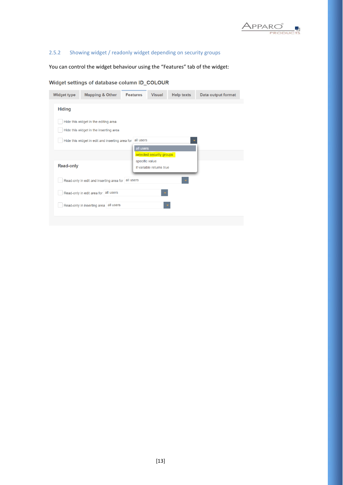

# <span id="page-12-0"></span>2.5.2 Showing widget / readonly widget depending on security groups

You can control the widget behaviour using the "Features" tab of the widget:

# Widget settings of database column ID\_COLOUR

| <b>Hiding</b><br>Hide this widget in the editing area<br>Hide this widget in the inserting area<br>all users<br>Hide this widget in edit and inserting area for<br>all users<br>selected security groups<br>specific value<br><b>Read-only</b><br>if variable returns true<br>Read-only in edit and inserting area for all users<br>Read-only in edit area for all users<br>Read-only in inserting area all users | <b>Widget type</b> | <b>Mapping &amp; Other</b> | <b>Features</b> | <b>Visual</b> | <b>Help texts</b> | Data output format |
|-------------------------------------------------------------------------------------------------------------------------------------------------------------------------------------------------------------------------------------------------------------------------------------------------------------------------------------------------------------------------------------------------------------------|--------------------|----------------------------|-----------------|---------------|-------------------|--------------------|
|                                                                                                                                                                                                                                                                                                                                                                                                                   |                    |                            |                 |               |                   |                    |
|                                                                                                                                                                                                                                                                                                                                                                                                                   |                    |                            |                 |               |                   |                    |
|                                                                                                                                                                                                                                                                                                                                                                                                                   |                    |                            |                 |               |                   |                    |
|                                                                                                                                                                                                                                                                                                                                                                                                                   |                    |                            |                 |               |                   |                    |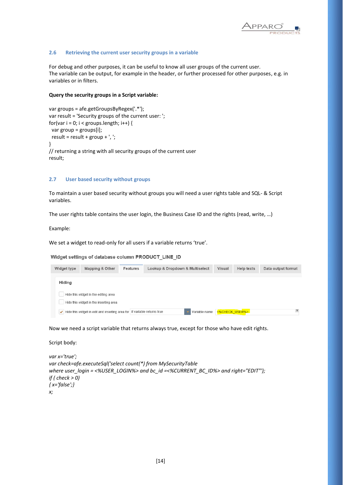

#### <span id="page-13-0"></span>**2.6 Retrieving the current user security groups in a variable**

For debug and other purposes, it can be useful to know all user groups of the current user. The variable can be output, for example in the header, or further processed for other purposes, e.g. in variables or in filters.

#### **Query the security groups in a Script variable:**

```
var groups = afe.getGroupsByRegex('.*'); 
var result = 'Security groups of the current user: '; 
for(var i = 0; i < groups.length; i++) {
  var group = groups[i]; 
 result = result + group + \prime, \prime;
} 
// returning a string with all security groups of the current user
result;
```
#### <span id="page-13-1"></span>**2.7 User based security without groups**

To maintain a user based security without groups you will need a user rights table and SQL- & Script variables.

The user rights table contains the user login, the Business Case ID and the rights (read, write, …)

Example:

We set a widget to read-only for all users if a variable returns 'true'.

Widget settings of database column PRODUCT\_LINE\_ID

| Widget type | Mapping & Other                                                                                | Features | Lookup & Dropdown & Multiselect |               | <b>Visual</b> | <b>Help texts</b> | Data output format |
|-------------|------------------------------------------------------------------------------------------------|----------|---------------------------------|---------------|---------------|-------------------|--------------------|
|             |                                                                                                |          |                                 |               |               |                   |                    |
| Hiding      |                                                                                                |          |                                 |               |               |                   |                    |
|             | Hide this widget in the editing area                                                           |          |                                 |               |               |                   |                    |
|             | Hide this widget in the inserting area                                                         |          |                                 |               |               |                   |                    |
|             | $\blacktriangleright$ Hide this widget in edit and inserting area for if variable returns true |          |                                 | Variable name |               | <%CHECK_USER%>    | V                  |

Now we need a script variable that returns always true, except for those who have edit rights.

```
Script body:
```

```
var x='true';
var check=afe.executeSql('select count(*) from MySecurityTable 
where user_login = <%USER_LOGIN%> and bc_id =<%CURRENT_BC_ID%> and right="EDIT"');
if ( check > 0)
{ x='false';}
x;
```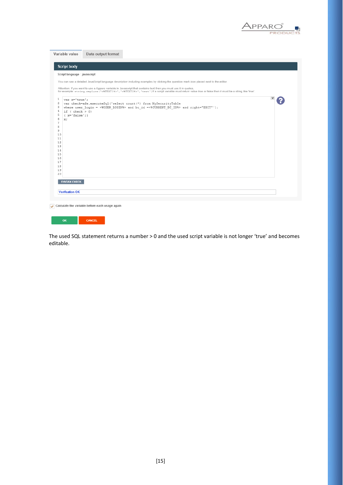

| <b>Script body</b>           |                                                                                                                                                                                                                                                                                |
|------------------------------|--------------------------------------------------------------------------------------------------------------------------------------------------------------------------------------------------------------------------------------------------------------------------------|
| Script language : javascript |                                                                                                                                                                                                                                                                                |
|                              | You can see a detailed JavaScript language description including examples by clicking the question mark icon placed next to the editor.                                                                                                                                        |
|                              |                                                                                                                                                                                                                                                                                |
|                              | Attention: If you want to use a Apparo variable in Javascript that contains text then you must use it in quotes,<br>for example: string.replace ('<\TEXT1\})', '<\TEXT2\}', 'text') If a script variable must return value true or false then it must be a string like 'true'. |
| 1<br>var x='true';           |                                                                                                                                                                                                                                                                                |
| 2<br>з                       | var check=afe.executeSql('select count(*) from MySecurityTable<br>where user login = <%USER LOGIN%> and bc id =<%CURRENT BC ID%> and right="EDIT"');                                                                                                                           |
| 4<br>if $( check > 0)$       |                                                                                                                                                                                                                                                                                |
| 5<br>$\{ x='false': \}$      |                                                                                                                                                                                                                                                                                |
| -6<br>K;                     |                                                                                                                                                                                                                                                                                |
| 7                            |                                                                                                                                                                                                                                                                                |
| 8<br>э                       |                                                                                                                                                                                                                                                                                |
| 10                           |                                                                                                                                                                                                                                                                                |
| 11                           |                                                                                                                                                                                                                                                                                |
| 12                           |                                                                                                                                                                                                                                                                                |
| 13                           |                                                                                                                                                                                                                                                                                |
| 14<br>15                     |                                                                                                                                                                                                                                                                                |
| 16                           |                                                                                                                                                                                                                                                                                |
| 17                           |                                                                                                                                                                                                                                                                                |
| 18                           |                                                                                                                                                                                                                                                                                |
| 19<br>20                     |                                                                                                                                                                                                                                                                                |
|                              |                                                                                                                                                                                                                                                                                |
| <b>SYNTAX CHECK</b>          |                                                                                                                                                                                                                                                                                |
|                              |                                                                                                                                                                                                                                                                                |
| <b>Verification OK</b>       |                                                                                                                                                                                                                                                                                |

The used SQL statement returns a number > 0 and the used script variable is not longer 'true' and becomes editable.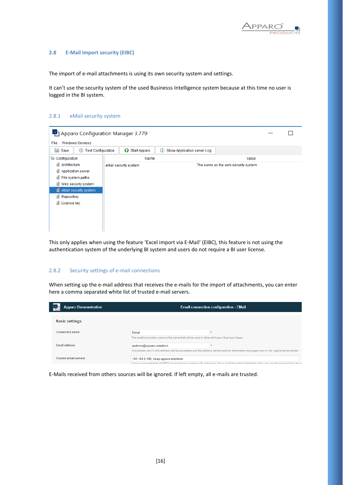

#### <span id="page-15-0"></span>**2.8 E-Mail import security (EIBC)**

The import of e-mail attachments is using its own security system and settings.

It can't use the security system of the used Businesss Intelligence system because at this time no user is logged in the BI system.

#### <span id="page-15-1"></span>2.8.1 eMail security system

|                                                       | Apparo Configuration Manager 3.779 |                                        |                                     |  |  |  |
|-------------------------------------------------------|------------------------------------|----------------------------------------|-------------------------------------|--|--|--|
| File<br><b>Windows Services</b>                       |                                    |                                        |                                     |  |  |  |
| <b>E</b> Save<br><b>Test Configuration</b><br>$\circ$ | $\bullet$<br>Start Apparo          | Show Application server Log<br>$\odot$ |                                     |  |  |  |
| Configuration                                         | Name                               |                                        | Value                               |  |  |  |
| Architecture                                          | eMail security system              |                                        | The same as the web security system |  |  |  |
| Application server                                    |                                    |                                        |                                     |  |  |  |
| File system paths<br>a.                               |                                    |                                        |                                     |  |  |  |
| a.<br>Web security system                             |                                    |                                        |                                     |  |  |  |
| eMail security system<br>4                            |                                    |                                        |                                     |  |  |  |
| Repository                                            |                                    |                                        |                                     |  |  |  |
| License key                                           |                                    |                                        |                                     |  |  |  |
|                                                       |                                    |                                        |                                     |  |  |  |
|                                                       |                                    |                                        |                                     |  |  |  |
|                                                       |                                    |                                        |                                     |  |  |  |
|                                                       |                                    |                                        |                                     |  |  |  |

This only applies when using the feature 'Excel import via E-Mail' (EIBC), this feature is not using the authentication system of the underlying BI system and users do not require a BI user license.

#### <span id="page-15-2"></span>2.8.2 Security settings of e-mail connections

When setting up the e-mail address that receives the e-mails for the import of attachments, you can enter here a comma separated white list of trusted e-mail servers.

| <b>Apparo Demonstration</b> |                                                                                                      | <b>Email connection configuration - EMail</b>                                                                                                    |
|-----------------------------|------------------------------------------------------------------------------------------------------|--------------------------------------------------------------------------------------------------------------------------------------------------|
| <b>Basic settings</b>       |                                                                                                      |                                                                                                                                                  |
| Connection name             | EMail<br>The email connection name is the name that will be used in all email Import Business Cases. |                                                                                                                                                  |
| Email address               | gsdemo@apparo.solutions                                                                              | ٠<br>Only emails sent to this address will be processed and the address will be used for information messages sent to the original email sender. |
| Trusted email servers       | 192.168.0.199, imap.apparo.solutions                                                                 | Commo canarated list of SMTP carver domain names or IP addresses. If you don't leave this field blank, then only emails received from the su     |

E-Mails received from others sources will be ignored. If left empty, all e-mails are trusted.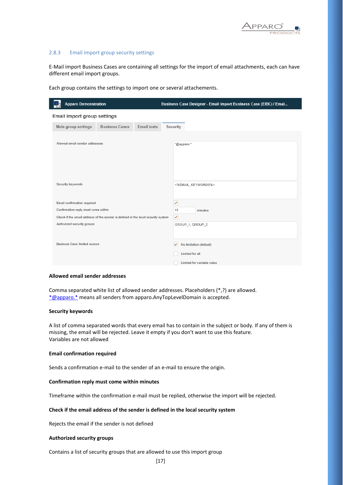

#### <span id="page-16-0"></span>2.8.3 Email import group security settings

E-Mail import Business Cases are containing all settings for the import of email attachments, each can have different email import groups.

| <b>Apparo Demonstration</b>                                                      | Business Case Designer - Email Import Business Case (EIBC) / Emai |
|----------------------------------------------------------------------------------|-------------------------------------------------------------------|
| Email import group settings                                                      |                                                                   |
| <b>Business Cases</b><br><b>Main group settings</b>                              | <b>Email texts</b><br>Security                                    |
|                                                                                  |                                                                   |
| Allowed email sender addresses                                                   | *@apparo.*                                                        |
|                                                                                  |                                                                   |
|                                                                                  |                                                                   |
|                                                                                  |                                                                   |
| Security keywords                                                                | <%EMAIL_KEYWORDS%>                                                |
| Email confirmation required                                                      | ✔                                                                 |
| Confirmation reply must come within                                              | 15<br>minutes                                                     |
| Check if the email address of the sender is defined in the local security system | $\checkmark$                                                      |
| Authorized security groups                                                       | GROUP_1, GROUP_2                                                  |
|                                                                                  |                                                                   |
| <b>Business Case limited access</b>                                              | No limitation (default)<br>✓                                      |
|                                                                                  | Limited for all                                                   |
|                                                                                  | Limited for variable value                                        |

Each group contains the settings to import one or several attachements.

#### **Allowed email sender addresses**

Comma separated white list of allowed sender addresses. Placeholders (\*,?) are allowed. [\\*@apparo.\\*](mailto:*@apparo.*) means all senders from apparo.AnyTopLevelDomain is accepted.

#### **Security keywords**

A list of comma separated words that every email has to contain in the subject or body. If any of them is missing, the email will be rejected. Leave it empty if you don't want to use this feature. Variables are not allowed

#### **Email confirmation required**

Sends a confirmation e-mail to the sender of an e-mail to ensure the origin.

#### **Confirmation reply must come within minutes**

Timeframe within the confirmation e-mail must be replied, otherwise the import will be rejected.

#### **Check if the email address of the sender is defined in the local security system**

Rejects the email if the sender is not defined

#### **Authorized security groups**

Contains a list of security groups that are allowed to use this import group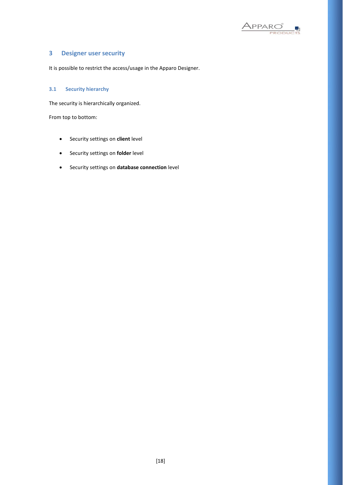

# <span id="page-17-0"></span>**3 Designer user security**

It is possible to restrict the access/usage in the Apparo Designer.

# <span id="page-17-1"></span>**3.1 Security hierarchy**

The security is hierarchically organized.

From top to bottom:

- Security settings on **client** level
- Security settings on **folder** level
- Security settings on **database connection** level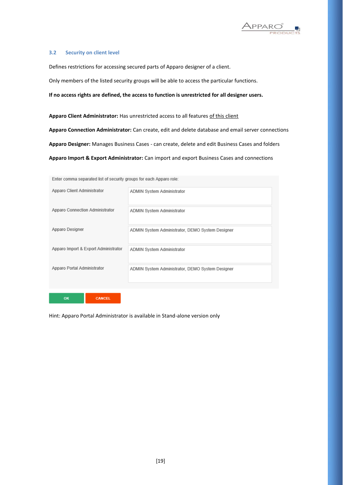

#### <span id="page-18-0"></span>**3.2 Security on client level**

**OK** 

Defines restrictions for accessing secured parts of Apparo designer of a client.

Only members of the listed security groups will be able to access the particular functions.

**If no access rights are defined, the access to function is unrestricted for all designer users.**

**Apparo Client Administrator:** Has unrestricted access to all features of this client **Apparo Connection Administrator:** Can create, edit and delete database and email server connections **Apparo Designer:** Manages Business Cases - can create, delete and edit Business Cases and folders

**Apparo Import & Export Administrator:** Can import and export Business Cases and connections

| <u>Effici commita sebaratea ist of security dioabs in each Upbard role.</u> |                                                  |
|-----------------------------------------------------------------------------|--------------------------------------------------|
| Apparo Client Administrator                                                 | ADMIN System Administrator                       |
| Apparo Connection Administrator                                             | ADMIN System Administrator                       |
| Apparo Designer                                                             | ADMIN System Administrator, DEMO System Designer |
| Apparo Import & Export Administrator                                        | ADMIN System Administrator                       |
| Apparo Portal Administrator                                                 | ADMIN System Administrator, DEMO System Designer |
|                                                                             |                                                  |

Enter comma separated list of security groups for each Apparo role:

Hint: Apparo Portal Administrator is available in Stand-alone version only

CANCEL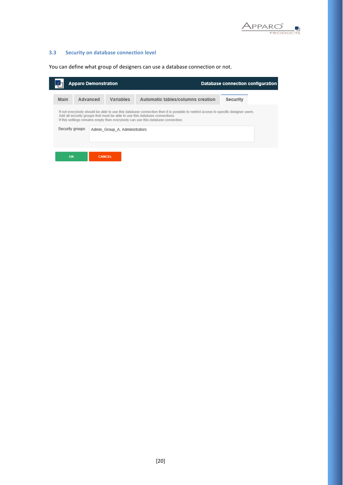

# <span id="page-19-0"></span>**3.3 Security on database connection level**

You can define what group of designers can use a database connection or not.

|      | <b>Apparo Demonstration</b>                                                                                                         |               |           |                                                                                                                                                                                                                   |                 | Database connection configuration |
|------|-------------------------------------------------------------------------------------------------------------------------------------|---------------|-----------|-------------------------------------------------------------------------------------------------------------------------------------------------------------------------------------------------------------------|-----------------|-----------------------------------|
| Main |                                                                                                                                     | Advanced      | Variables | Automatic tables/columns creation                                                                                                                                                                                 | <b>Security</b> |                                   |
|      |                                                                                                                                     |               |           | If not everybody should be able to use this database connection then it is possible to restrict access to specific designer users.<br>Add all security groups that must be able to use this database connections. |                 |                                   |
|      | If this settings remains empty then everybody can use this database connection.<br>Security groups<br>Admin Group A, Administrators |               |           |                                                                                                                                                                                                                   |                 |                                   |
|      |                                                                                                                                     |               |           |                                                                                                                                                                                                                   |                 |                                   |
| OK   |                                                                                                                                     | <b>CANCEL</b> |           |                                                                                                                                                                                                                   |                 |                                   |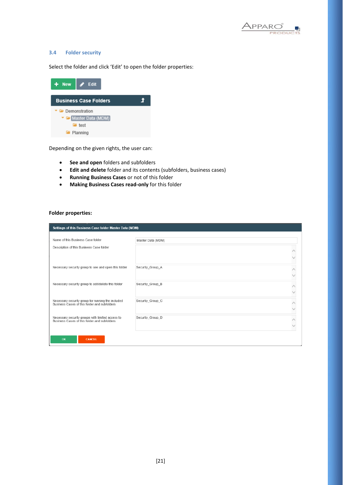

#### <span id="page-20-0"></span>**3.4 Folder security**

Select the folder and click 'Edit' to open the folder properties:

| $+$ New       | $\blacktriangleright$ Edit   |  |
|---------------|------------------------------|--|
|               | <b>Business Case Folders</b> |  |
| Demonstration |                              |  |
|               | Master Data (MDM)            |  |
|               | <b>Form</b> test             |  |
|               | <b>F</b> Planning            |  |

Depending on the given rights, the user can:

- **See and open** folders and subfolders
- **Edit and delete** folder and its contents (subfolders, business cases)
- **Running Business Cases** or not of this folder
- **Making Business Cases read-only** for this folder

#### **Folder properties:**

|                                                                                                   | Settings of this Business Case folder Master Data (MDM) |  |  |  |  |  |
|---------------------------------------------------------------------------------------------------|---------------------------------------------------------|--|--|--|--|--|
|                                                                                                   |                                                         |  |  |  |  |  |
| Name of this Business Case folder                                                                 | Master Data (MDM)                                       |  |  |  |  |  |
| Description of this Business Case folder                                                          |                                                         |  |  |  |  |  |
|                                                                                                   |                                                         |  |  |  |  |  |
| Necessary security group to see and open this folder                                              | Securtiy_Group_A                                        |  |  |  |  |  |
|                                                                                                   |                                                         |  |  |  |  |  |
| Necessary security group to edit/delete this folder                                               | Securtiy_Group_B                                        |  |  |  |  |  |
|                                                                                                   |                                                         |  |  |  |  |  |
| Necessary security group for running the included<br>Business Cases of this folder and subfolders | Securtiy_Group_C                                        |  |  |  |  |  |
|                                                                                                   |                                                         |  |  |  |  |  |
| Necessary security groups with limited access to<br>Business Cases of this folder and subfolders  | Securtiy_Group_D                                        |  |  |  |  |  |
|                                                                                                   |                                                         |  |  |  |  |  |
|                                                                                                   |                                                         |  |  |  |  |  |
| OK<br>CANCEL                                                                                      |                                                         |  |  |  |  |  |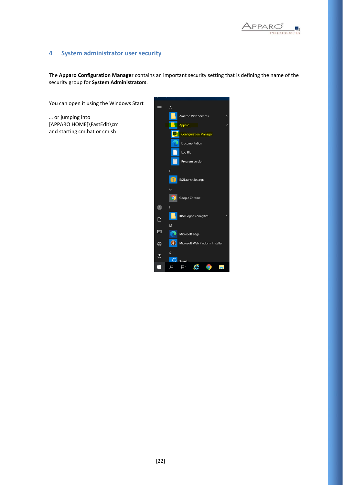

# <span id="page-21-0"></span>**4 System administrator user security**

The **Apparo Configuration Manager** contains an important security setting that is defining the name of the security group for **System Administrators**.

You can open it using the Windows Start

… or jumping into [APPARO HOME]\FastEdit\cm and starting cm.bat or cm.sh